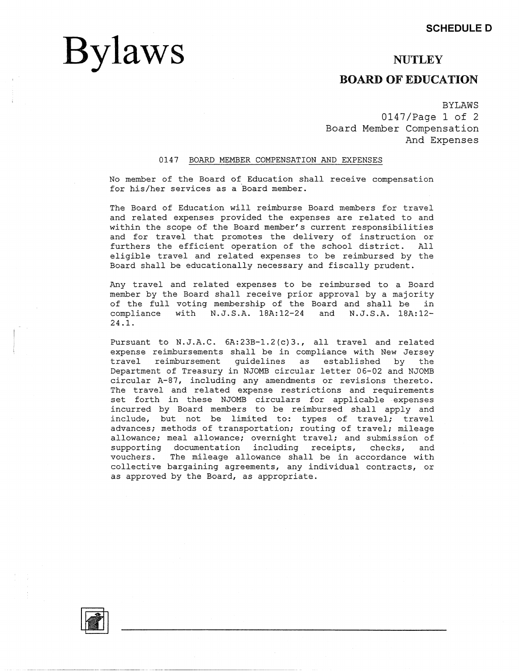## **NUTLEY**

## **BOARD OF EDUCATION**

BYLAWS 0147/Page 1 of 2 Board Member Compensation And Expenses

### 0147 BOARD MEMBER COMPENSATION AND EXPENSES

No member of the Board of Education shall receive compensation for his/her services as a Board member.

The Board of Education will reimburse Board members for travel and related expenses provided the expenses are related to and within the scope of the Board member's current responsibilities and for travel that promotes the delivery of instruction or furthers the efficient operation of the school district. All eligible travel and related expenses to be reimbursed by the Board shall be educationally necessary and fiscally prudent.

Any travel and related expenses to be reimbursed to a Board member by the Board shall receive prior approval by a majority of the full voting membership of the Board and shall be in compliance with N.J.S.A. lBA:12-24 and N.J.S.A. lBA:12- **24 .1.** 

Pursuant to N.J.A.C. 6A:23B-1.2(c)3., all travel and related expense reimbursements shall be in compliance with New Jersey travel reimbursement guidelines as established by the Department of Treasury in NJOMB circular letter 06-02 and NJOMB circular A-87, including any amendments or revisions thereto. The travel and related expense restrictions and requirements set forth in these NJOMB circulars for applicable expenses incurred by Board members to be reimbursed shall apply and include, but not be limited to: types of travel; travel advances; methods of transportation; routing of travel; mileage allowance; meal allowance; overnight travel; and submission of supporting documentation including receipts, checks, and vouchers. The mileage allowance shall be in accordance with collective bargaining agreements, any individual contracts, or as approved by the Board, as appropriate.



**Bylaws**